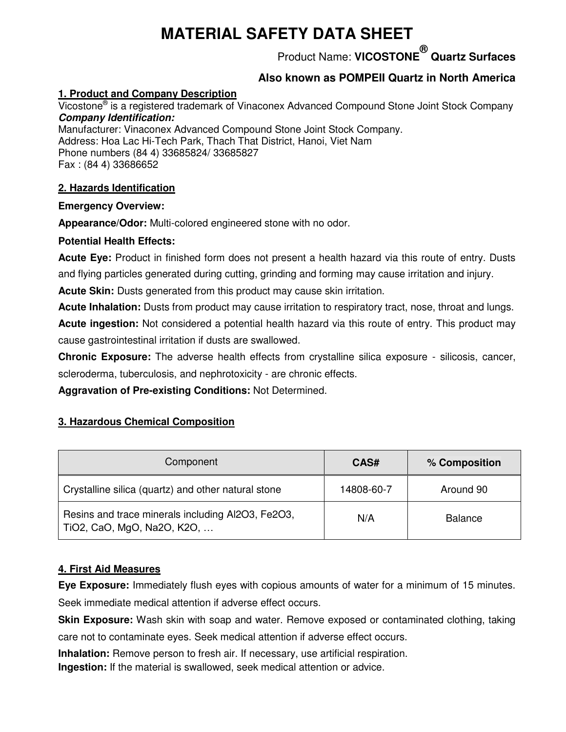# **MATERIAL SAFETY DATA SHEET**

Product Name: **VICOSTONE® Quartz Surfaces** 

## **Also known as POMPEII Quartz in North America**

#### **1. Product and Company Description**

Vicostone<sup>®</sup> is a registered trademark of Vinaconex Advanced Compound Stone Joint Stock Company *Company Identification:* 

Manufacturer: Vinaconex Advanced Compound Stone Joint Stock Company. Address: Hoa Lac Hi-Tech Park, Thach That District, Hanoi, Viet Nam Phone numbers (84 4) 33685824/ 33685827 Fax : (84 4) 33686652

#### **2. Hazards Identification**

#### **Emergency Overview:**

**Appearance/Odor:** Multi-colored engineered stone with no odor.

#### **Potential Health Effects:**

**Acute Eye:** Product in finished form does not present a health hazard via this route of entry. Dusts and flying particles generated during cutting, grinding and forming may cause irritation and injury.

**Acute Skin:** Dusts generated from this product may cause skin irritation.

**Acute Inhalation:** Dusts from product may cause irritation to respiratory tract, nose, throat and lungs. **Acute ingestion:** Not considered a potential health hazard via this route of entry. This product may cause gastrointestinal irritation if dusts are swallowed.

**Chronic Exposure:** The adverse health effects from crystalline silica exposure - silicosis, cancer, scleroderma, tuberculosis, and nephrotoxicity - are chronic effects.

**Aggravation of Pre-existing Conditions:** Not Determined.

### **3. Hazardous Chemical Composition**

| Component                                                                       | CAS#       | % Composition  |
|---------------------------------------------------------------------------------|------------|----------------|
| Crystalline silica (quartz) and other natural stone                             | 14808-60-7 | Around 90      |
| Resins and trace minerals including Al2O3, Fe2O3,<br>TiO2, CaO, MgO, Na2O, K2O, | N/A        | <b>Balance</b> |

### **4. First Aid Measures**

**Eye Exposure:** Immediately flush eyes with copious amounts of water for a minimum of 15 minutes. Seek immediate medical attention if adverse effect occurs.

**Skin Exposure:** Wash skin with soap and water. Remove exposed or contaminated clothing, taking care not to contaminate eyes. Seek medical attention if adverse effect occurs.

**Inhalation:** Remove person to fresh air. If necessary, use artificial respiration. **Ingestion:** If the material is swallowed, seek medical attention or advice.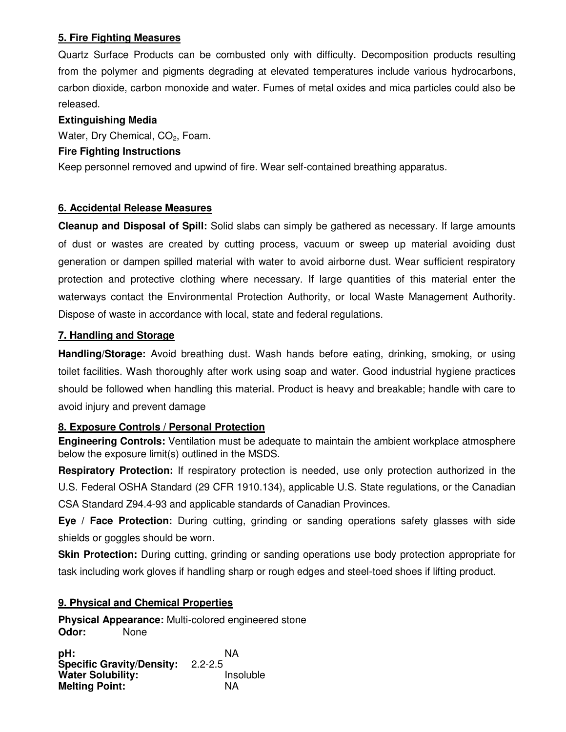#### **5. Fire Fighting Measures**

Quartz Surface Products can be combusted only with difficulty. Decomposition products resulting from the polymer and pigments degrading at elevated temperatures include various hydrocarbons, carbon dioxide, carbon monoxide and water. Fumes of metal oxides and mica particles could also be released.

#### **Extinguishing Media**

Water, Dry Chemical,  $CO<sub>2</sub>$ , Foam.

#### **Fire Fighting Instructions**

Keep personnel removed and upwind of fire. Wear self-contained breathing apparatus.

#### **6. Accidental Release Measures**

**Cleanup and Disposal of Spill:** Solid slabs can simply be gathered as necessary. If large amounts of dust or wastes are created by cutting process, vacuum or sweep up material avoiding dust generation or dampen spilled material with water to avoid airborne dust. Wear sufficient respiratory protection and protective clothing where necessary. If large quantities of this material enter the waterways contact the Environmental Protection Authority, or local Waste Management Authority. Dispose of waste in accordance with local, state and federal regulations.

#### **7. Handling and Storage**

**Handling/Storage:** Avoid breathing dust. Wash hands before eating, drinking, smoking, or using toilet facilities. Wash thoroughly after work using soap and water. Good industrial hygiene practices should be followed when handling this material. Product is heavy and breakable; handle with care to avoid injury and prevent damage

#### **8. Exposure Controls / Personal Protection**

**Engineering Controls:** Ventilation must be adequate to maintain the ambient workplace atmosphere below the exposure limit(s) outlined in the MSDS.

**Respiratory Protection:** If respiratory protection is needed, use only protection authorized in the U.S. Federal OSHA Standard (29 CFR 1910.134), applicable U.S. State regulations, or the Canadian CSA Standard Z94.4-93 and applicable standards of Canadian Provinces.

**Eye / Face Protection:** During cutting, grinding or sanding operations safety glasses with side shields or goggles should be worn.

**Skin Protection:** During cutting, grinding or sanding operations use body protection appropriate for task including work gloves if handling sharp or rough edges and steel-toed shoes if lifting product.

#### **9. Physical and Chemical Properties**

**Physical Appearance:** Multi-colored engineered stone **Odor:** None

**pH:** NA **Specific Gravity/Density:** 2.2-2.5 **Water Solubility:** The linsoluble insoluble and the line of the line of the line of the line of the line of the line of the line of the line of the line of the line of the line of the line of the line of the line of the l **Melting Point:**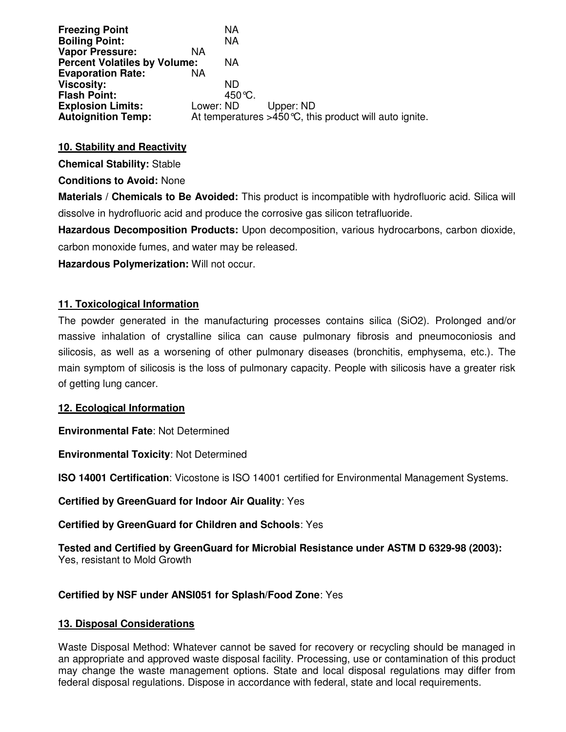| <b>Freezing Point</b><br><b>Boiling Point:</b> |           | NA<br>NA |           |                                                           |
|------------------------------------------------|-----------|----------|-----------|-----------------------------------------------------------|
| <b>Vapor Pressure:</b>                         | NA        |          |           |                                                           |
| <b>Percent Volatiles by Volume:</b>            |           | NA       |           |                                                           |
| <b>Evaporation Rate:</b>                       | NА        |          |           |                                                           |
| <b>Viscosity:</b>                              |           | ND.      |           |                                                           |
| <b>Flash Point:</b>                            |           | 450 °C.  |           |                                                           |
| <b>Explosion Limits:</b>                       | Lower: ND |          | Upper: ND |                                                           |
| <b>Autoignition Temp:</b>                      |           |          |           | At temperatures $>450$ °C, this product will auto ignite. |

#### **10. Stability and Reactivity**

**Chemical Stability:** Stable

**Conditions to Avoid:** None

**Materials / Chemicals to Be Avoided:** This product is incompatible with hydrofluoric acid. Silica will dissolve in hydrofluoric acid and produce the corrosive gas silicon tetrafluoride.

**Hazardous Decomposition Products:** Upon decomposition, various hydrocarbons, carbon dioxide, carbon monoxide fumes, and water may be released.

**Hazardous Polymerization:** Will not occur.

#### **11. Toxicological Information**

The powder generated in the manufacturing processes contains silica (SiO2). Prolonged and/or massive inhalation of crystalline silica can cause pulmonary fibrosis and pneumoconiosis and silicosis, as well as a worsening of other pulmonary diseases (bronchitis, emphysema, etc.). The main symptom of silicosis is the loss of pulmonary capacity. People with silicosis have a greater risk of getting lung cancer.

#### **12. Ecological Information**

**Environmental Fate**: Not Determined

**Environmental Toxicity**: Not Determined

**ISO 14001 Certification**: Vicostone is ISO 14001 certified for Environmental Management Systems.

**Certified by GreenGuard for Indoor Air Quality**: Yes

**Certified by GreenGuard for Children and Schools**: Yes

**Tested and Certified by GreenGuard for Microbial Resistance under ASTM D 6329-98 (2003):** Yes, resistant to Mold Growth

#### **Certified by NSF under ANSI051 for Splash/Food Zone**: Yes

#### **13. Disposal Considerations**

Waste Disposal Method: Whatever cannot be saved for recovery or recycling should be managed in an appropriate and approved waste disposal facility. Processing, use or contamination of this product may change the waste management options. State and local disposal regulations may differ from federal disposal regulations. Dispose in accordance with federal, state and local requirements.